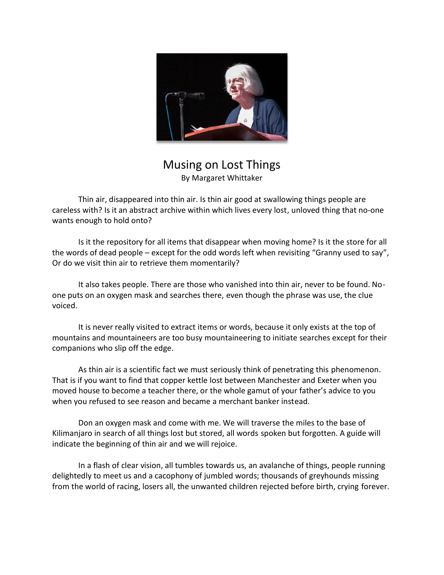

Musing on Lost Things By Margaret Whittaker

Thin air, disappeared into thin air. Is thin air good at swallowing things people are careless with? Is it an abstract archive within which lives every lost, unloved thing that no-one wants enough to hold onto?

Is it the repository for all items that disappear when moving home? Is it the store for all the words of dead people – except for the odd words left when revisiting "Granny used to say", Or do we visit thin air to retrieve them momentarily?

It also takes people. There are those who vanished into thin air, never to be found. Noone puts on an oxygen mask and searches there, even though the phrase was use, the clue voiced.

It is never really visited to extract items or words, because it only exists at the top of mountains and mountaineers are too busy mountaineering to initiate searches except for their companions who slip off the edge.

As thin air is a scientific fact we must seriously think of penetrating this phenomenon. That is if you want to find that copper kettle lost between Manchester and Exeter when you moved house to become a teacher there, or the whole gamut of your father's advice to you when you refused to see reason and became a merchant banker instead.

Don an oxygen mask and come with me. We will traverse the miles to the base of Kilimanjaro in search of all things lost but stored, all words spoken but forgotten. A guide will indicate the beginning of thin air and we will rejoice.

In a flash of clear vision, all tumbles towards us, an avalanche of things, people running delightedly to meet us and a cacophony of jumbled words; thousands of greyhounds missing from the world of racing, losers all, the unwanted children rejected before birth, crying forever.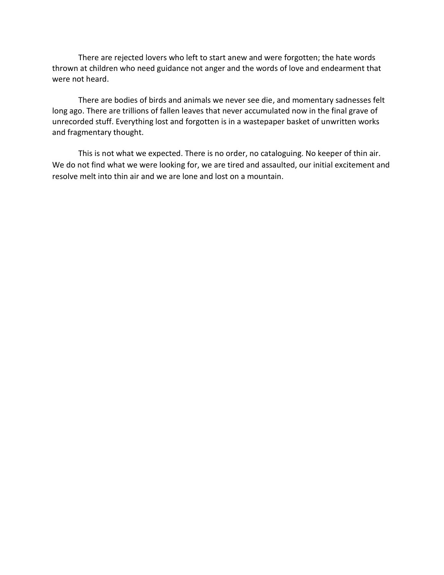There are rejected lovers who left to start anew and were forgotten; the hate words thrown at children who need guidance not anger and the words of love and endearment that were not heard.

There are bodies of birds and animals we never see die, and momentary sadnesses felt long ago. There are trillions of fallen leaves that never accumulated now in the final grave of unrecorded stuff. Everything lost and forgotten is in a wastepaper basket of unwritten works and fragmentary thought.

This is not what we expected. There is no order, no cataloguing. No keeper of thin air. We do not find what we were looking for, we are tired and assaulted, our initial excitement and resolve melt into thin air and we are lone and lost on a mountain.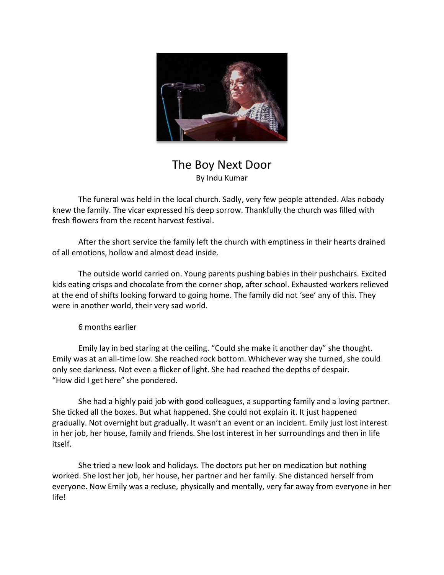

## The Boy Next Door By Indu Kumar

The funeral was held in the local church. Sadly, very few people attended. Alas nobody knew the family. The vicar expressed his deep sorrow. Thankfully the church was filled with fresh flowers from the recent harvest festival.

After the short service the family left the church with emptiness in their hearts drained of all emotions, hollow and almost dead inside.

The outside world carried on. Young parents pushing babies in their pushchairs. Excited kids eating crisps and chocolate from the corner shop, after school. Exhausted workers relieved at the end of shifts looking forward to going home. The family did not 'see' any of this. They were in another world, their very sad world.

6 months earlier

Emily lay in bed staring at the ceiling. "Could she make it another day" she thought. Emily was at an all-time low. She reached rock bottom. Whichever way she turned, she could only see darkness. Not even a flicker of light. She had reached the depths of despair. "How did I get here" she pondered.

She had a highly paid job with good colleagues, a supporting family and a loving partner. She ticked all the boxes. But what happened. She could not explain it. It just happened gradually. Not overnight but gradually. It wasn't an event or an incident. Emily just lost interest in her job, her house, family and friends. She lost interest in her surroundings and then in life itself.

She tried a new look and holidays. The doctors put her on medication but nothing worked. She lost her job, her house, her partner and her family. She distanced herself from everyone. Now Emily was a recluse, physically and mentally, very far away from everyone in her life!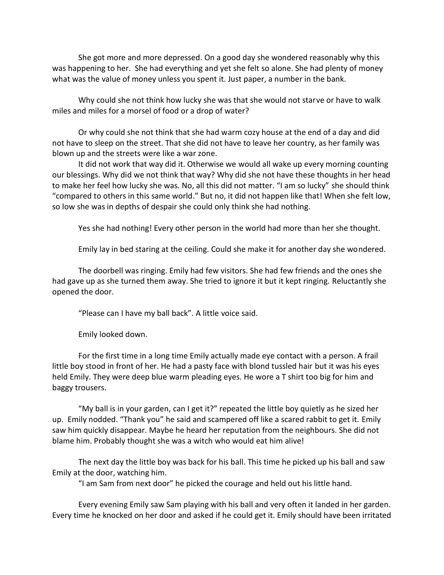She got more and more depressed. On a good day she wondered reasonably why this was happening to her. She had everything and yet she felt so alone. She had plenty of money what was the value of money unless you spent it. Just paper, a number in the bank.

Why could she not think how lucky she was that she would not starve or have to walk miles and miles for a morsel of food or a drop of water?

Or why could she not think that she had warm cozy house at the end of a day and did not have to sleep on the street. That she did not have to leave her country, as her family was blown up and the streets were like a war zone.

It did not work that way did it. Otherwise we would all wake up every morning counting our blessings. Why did we not think that way? Why did she not have these thoughts in her head to make her feel how lucky she was. No, all this did not matter. "I am so lucky" she should think "compared to others in this same world." But no, it did not happen like that! When she felt low, so low she was in depths of despair she could only think she had nothing.

Yes she had nothing! Every other person in the world had more than her she thought.

Emily lay in bed staring at the ceiling. Could she make it for another day she wondered.

The doorbell was ringing. Emily had few visitors. She had few friends and the ones she had gave up as she turned them away. She tried to ignore it but it kept ringing. Reluctantly she opened the door.

"Please can I have my ball back". A little voice said.

Emily looked down.

For the first time in a long time Emily actually made eye contact with a person. A frail little boy stood in front of her. He had a pasty face with blond tussled hair but it was his eyes held Emily. They were deep blue warm pleading eyes. He wore a T shirt too big for him and baggy trousers.

"My ball is in your garden, can I get it?" repeated the little boy quietly as he sized her up. Emily nodded. "Thank you" he said and scampered off like a scared rabbit to get it. Emily saw him quickly disappear. Maybe he heard her reputation from the neighbours. She did not blame him. Probably thought she was a witch who would eat him alive!

The next day the little boy was back for his ball. This time he picked up his ball and saw Emily at the door, watching him.

"I am Sam from next door" he picked the courage and held out his little hand.

Every evening Emily saw Sam playing with his ball and very often it landed in her garden. Every time he knocked on her door and asked if he could get it. Emily should have been irritated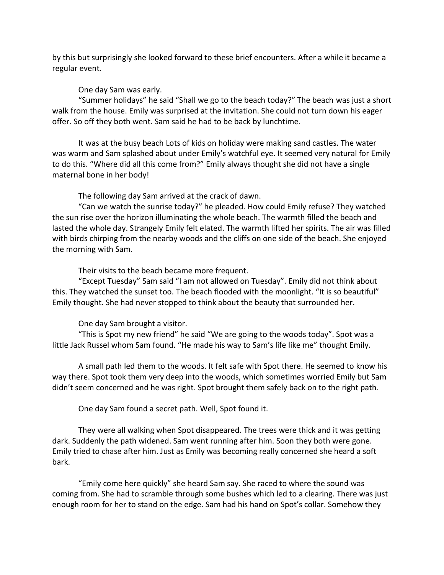by this but surprisingly she looked forward to these brief encounters. After a while it became a regular event.

One day Sam was early.

"Summer holidays" he said "Shall we go to the beach today?" The beach was just a short walk from the house. Emily was surprised at the invitation. She could not turn down his eager offer. So off they both went. Sam said he had to be back by lunchtime.

It was at the busy beach Lots of kids on holiday were making sand castles. The water was warm and Sam splashed about under Emily's watchful eye. It seemed very natural for Emily to do this. "Where did all this come from?" Emily always thought she did not have a single maternal bone in her body!

The following day Sam arrived at the crack of dawn.

"Can we watch the sunrise today?" he pleaded. How could Emily refuse? They watched the sun rise over the horizon illuminating the whole beach. The warmth filled the beach and lasted the whole day. Strangely Emily felt elated. The warmth lifted her spirits. The air was filled with birds chirping from the nearby woods and the cliffs on one side of the beach. She enjoyed the morning with Sam.

Their visits to the beach became more frequent.

"Except Tuesday" Sam said "I am not allowed on Tuesday". Emily did not think about this. They watched the sunset too. The beach flooded with the moonlight. "It is so beautiful" Emily thought. She had never stopped to think about the beauty that surrounded her.

One day Sam brought a visitor.

"This is Spot my new friend" he said "We are going to the woods today". Spot was a little Jack Russel whom Sam found. "He made his way to Sam's life like me" thought Emily.

A small path led them to the woods. It felt safe with Spot there. He seemed to know his way there. Spot took them very deep into the woods, which sometimes worried Emily but Sam didn't seem concerned and he was right. Spot brought them safely back on to the right path.

One day Sam found a secret path. Well, Spot found it.

They were all walking when Spot disappeared. The trees were thick and it was getting dark. Suddenly the path widened. Sam went running after him. Soon they both were gone. Emily tried to chase after him. Just as Emily was becoming really concerned she heard a soft bark.

"Emily come here quickly" she heard Sam say. She raced to where the sound was coming from. She had to scramble through some bushes which led to a clearing. There was just enough room for her to stand on the edge. Sam had his hand on Spot's collar. Somehow they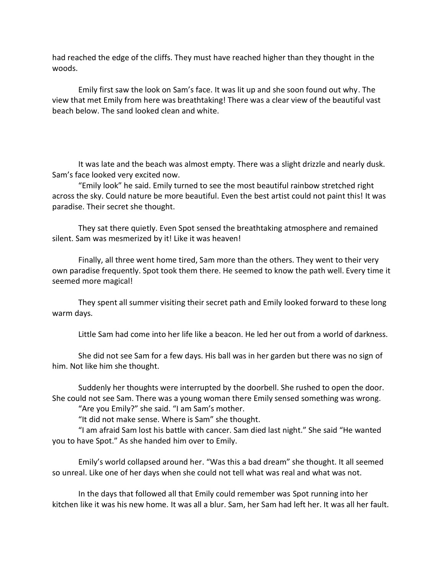had reached the edge of the cliffs. They must have reached higher than they thought in the woods.

Emily first saw the look on Sam's face. It was lit up and she soon found out why. The view that met Emily from here was breathtaking! There was a clear view of the beautiful vast beach below. The sand looked clean and white.

It was late and the beach was almost empty. There was a slight drizzle and nearly dusk. Sam's face looked very excited now.

"Emily look" he said. Emily turned to see the most beautiful rainbow stretched right across the sky. Could nature be more beautiful. Even the best artist could not paint this! It was paradise. Their secret she thought.

They sat there quietly. Even Spot sensed the breathtaking atmosphere and remained silent. Sam was mesmerized by it! Like it was heaven!

Finally, all three went home tired, Sam more than the others. They went to their very own paradise frequently. Spot took them there. He seemed to know the path well. Every time it seemed more magical!

They spent all summer visiting their secret path and Emily looked forward to these long warm days.

Little Sam had come into her life like a beacon. He led her out from a world of darkness.

She did not see Sam for a few days. His ball was in her garden but there was no sign of him. Not like him she thought.

Suddenly her thoughts were interrupted by the doorbell. She rushed to open the door. She could not see Sam. There was a young woman there Emily sensed something was wrong.

"Are you Emily?" she said. "I am Sam's mother.

"It did not make sense. Where is Sam" she thought.

"I am afraid Sam lost his battle with cancer. Sam died last night." She said "He wanted you to have Spot." As she handed him over to Emily.

Emily's world collapsed around her. "Was this a bad dream" she thought. It all seemed so unreal. Like one of her days when she could not tell what was real and what was not.

In the days that followed all that Emily could remember was Spot running into her kitchen like it was his new home. It was all a blur. Sam, her Sam had left her. It was all her fault.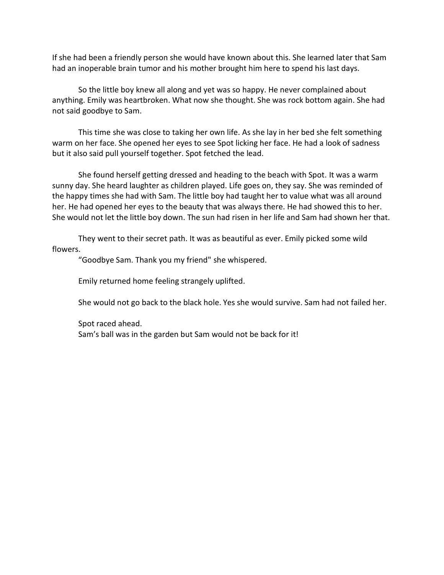If she had been a friendly person she would have known about this. She learned later that Sam had an inoperable brain tumor and his mother brought him here to spend his last days.

So the little boy knew all along and yet was so happy. He never complained about anything. Emily was heartbroken. What now she thought. She was rock bottom again. She had not said goodbye to Sam.

This time she was close to taking her own life. As she lay in her bed she felt something warm on her face. She opened her eyes to see Spot licking her face. He had a look of sadness but it also said pull yourself together. Spot fetched the lead.

She found herself getting dressed and heading to the beach with Spot. It was a warm sunny day. She heard laughter as children played. Life goes on, they say. She was reminded of the happy times she had with Sam. The little boy had taught her to value what was all around her. He had opened her eyes to the beauty that was always there. He had showed this to her. She would not let the little boy down. The sun had risen in her life and Sam had shown her that.

They went to their secret path. It was as beautiful as ever. Emily picked some wild flowers.

"Goodbye Sam. Thank you my friend" she whispered.

Emily returned home feeling strangely uplifted.

She would not go back to the black hole. Yes she would survive. Sam had not failed her.

Spot raced ahead. Sam's ball was in the garden but Sam would not be back for it!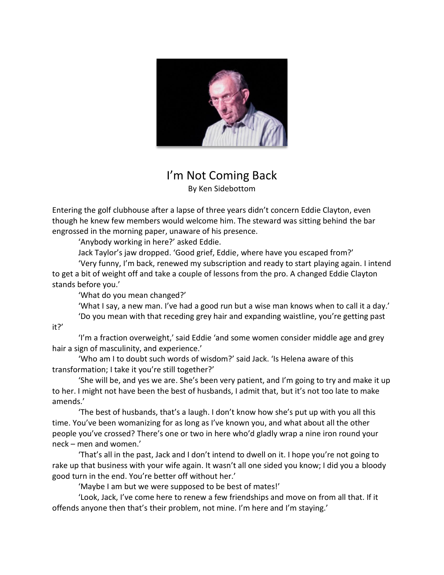

## I'm Not Coming Back By Ken Sidebottom

Entering the golf clubhouse after a lapse of three years didn't concern Eddie Clayton, even though he knew few members would welcome him. The steward was sitting behind the bar engrossed in the morning paper, unaware of his presence.

'Anybody working in here?' asked Eddie.

Jack Taylor's jaw dropped. 'Good grief, Eddie, where have you escaped from?'

'Very funny, I'm back, renewed my subscription and ready to start playing again. I intend to get a bit of weight off and take a couple of lessons from the pro. A changed Eddie Clayton stands before you.'

'What do you mean changed?'

'What I say, a new man. I've had a good run but a wise man knows when to call it a day.' 'Do you mean with that receding grey hair and expanding waistline, you're getting past

it?'

'I'm a fraction overweight,' said Eddie 'and some women consider middle age and grey hair a sign of masculinity, and experience.'

'Who am I to doubt such words of wisdom?' said Jack. 'Is Helena aware of this transformation; I take it you're still together?'

'She will be, and yes we are. She's been very patient, and I'm going to try and make it up to her. I might not have been the best of husbands, I admit that, but it's not too late to make amends.'

'The best of husbands, that's a laugh. I don't know how she's put up with you all this time. You've been womanizing for as long as I've known you, and what about all the other people you've crossed? There's one or two in here who'd gladly wrap a nine iron round your neck – men and women.'

'That's all in the past, Jack and I don't intend to dwell on it. I hope you're not going to rake up that business with your wife again. It wasn't all one sided you know; I did you a bloody good turn in the end. You're better off without her.'

'Maybe I am but we were supposed to be best of mates!'

'Look, Jack, I've come here to renew a few friendships and move on from all that. If it offends anyone then that's their problem, not mine. I'm here and I'm staying.'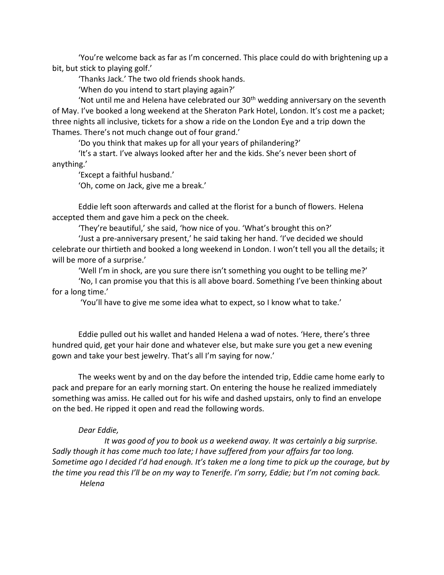'You're welcome back as far as I'm concerned. This place could do with brightening up a bit, but stick to playing golf.'

'Thanks Jack.' The two old friends shook hands.

'When do you intend to start playing again?'

'Not until me and Helena have celebrated our  $30<sup>th</sup>$  wedding anniversary on the seventh of May. I've booked a long weekend at the Sheraton Park Hotel, London. It's cost me a packet; three nights all inclusive, tickets for a show a ride on the London Eye and a trip down the Thames. There's not much change out of four grand.'

'Do you think that makes up for all your years of philandering?'

'It's a start. I've always looked after her and the kids. She's never been short of anything.'

'Except a faithful husband.'

'Oh, come on Jack, give me a break.'

Eddie left soon afterwards and called at the florist for a bunch of flowers. Helena accepted them and gave him a peck on the cheek.

'They're beautiful,' she said, 'how nice of you. 'What's brought this on?'

'Just a pre-anniversary present,' he said taking her hand. 'I've decided we should celebrate our thirtieth and booked a long weekend in London. I won't tell you all the details; it will be more of a surprise.'

'Well I'm in shock, are you sure there isn't something you ought to be telling me?'

'No, I can promise you that this is all above board. Something I've been thinking about for a long time.'

'You'll have to give me some idea what to expect, so I know what to take.'

Eddie pulled out his wallet and handed Helena a wad of notes. 'Here, there's three hundred quid, get your hair done and whatever else, but make sure you get a new evening gown and take your best jewelry. That's all I'm saying for now.'

The weeks went by and on the day before the intended trip, Eddie came home early to pack and prepare for an early morning start. On entering the house he realized immediately something was amiss. He called out for his wife and dashed upstairs, only to find an envelope on the bed. He ripped it open and read the following words.

## *Dear Eddie,*

*It was good of you to book us a weekend away. It was certainly a big surprise. Sadly though it has come much too late; I have suffered from your affairs far too long. Sometime ago I decided I'd had enough. It's taken me a long time to pick up the courage, but by the time you read this I'll be on my way to Tenerife. I'm sorry, Eddie; but I'm not coming back. Helena*